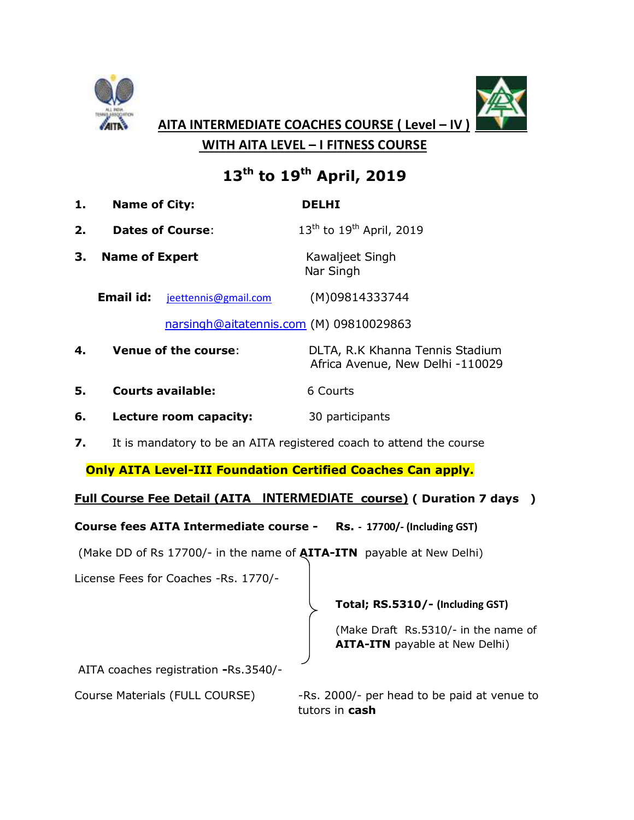



**AITA INTERMEDIATE COACHES COURSE ( Level – IV )**

 **WITH AITA LEVEL – I FITNESS COURSE**

# **13th to 19th April, 2019**

- **1. Name of City: DELHI**
- **2. Dates of Course:**  $13<sup>th</sup>$  to  $19<sup>th</sup>$  April, 2019
- **3. Name of Expert** Kawaljeet Singh Nar Singh
	- **Email id:** jeettennis@gmail.com (M)09814333744

[narsingh@aitatennis.com](mailto:narsingh@aitatennis.com) (M) 09810029863

- **4. Venue of the course**: DLTA, R.K Khanna Tennis Stadium Africa Avenue, New Delhi -110029
- **5. Courts available:** 6 Courts
- **6. Lecture room capacity:** 30 participants
- **7.** It is mandatory to be an AITA registered coach to attend the course

 **Only AITA Level-III Foundation Certified Coaches Can apply.**

## **Full Course Fee Detail (AITA INTERMEDIATE course) ( Duration 7 days )**

**Course fees AITA Intermediate course - Rs. - 17700/- (Including GST)**

(Make DD of Rs 17700/- in the name of **AITA-ITN** payable at New Delhi)

License Fees for Coaches -Rs. 1770/-

## **Total; RS.5310/- (Including GST)**

(Make Draft Rs.5310/- in the name of **AITA-ITN** payable at New Delhi)

AITA coaches registration **-**Rs.3540/-

Course Materials (FULL COURSE) - Rs. 2000/- per head to be paid at venue to tutors in **cash**